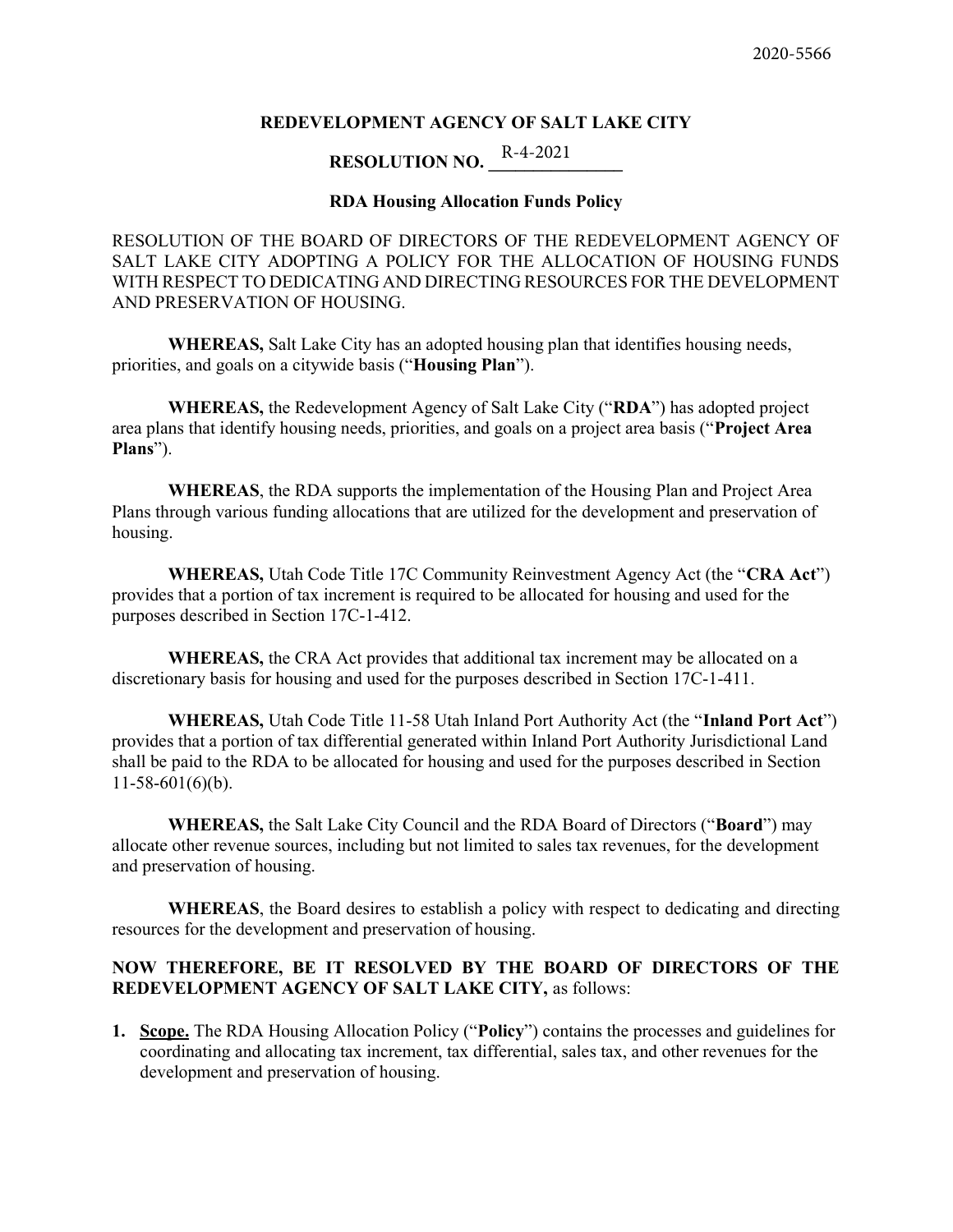#### REDEVELOPMENT AGENCY OF SALT LAKE CITY

### RESOLUTION NO.  $\frac{R-4-2021}{4}$

#### RDA Housing Allocation Funds Policy

RESOLUTION OF THE BOARD OF DIRECTORS OF THE REDEVELOPMENT AGENCY OF SALT LAKE CITY ADOPTING A POLICY FOR THE ALLOCATION OF HOUSING FUNDS WITH RESPECT TO DEDICATING AND DIRECTING RESOURCES FOR THE DEVELOPMENT AND PRESERVATION OF HOUSING.

WHEREAS, Salt Lake City has an adopted housing plan that identifies housing needs, priorities, and goals on a citywide basis ("Housing Plan").

WHEREAS, the Redevelopment Agency of Salt Lake City ("RDA") has adopted project area plans that identify housing needs, priorities, and goals on a project area basis ("Project Area Plans").

WHEREAS, the RDA supports the implementation of the Housing Plan and Project Area Plans through various funding allocations that are utilized for the development and preservation of housing.

WHEREAS, Utah Code Title 17C Community Reinvestment Agency Act (the "CRA Act") provides that a portion of tax increment is required to be allocated for housing and used for the purposes described in Section 17C-1-412.

WHEREAS, the CRA Act provides that additional tax increment may be allocated on a discretionary basis for housing and used for the purposes described in Section 17C-1-411.

WHEREAS, Utah Code Title 11-58 Utah Inland Port Authority Act (the "Inland Port Act") provides that a portion of tax differential generated within Inland Port Authority Jurisdictional Land shall be paid to the RDA to be allocated for housing and used for the purposes described in Section  $11-58-601(6)(b)$ .

WHEREAS, the Salt Lake City Council and the RDA Board of Directors ("Board") may allocate other revenue sources, including but not limited to sales tax revenues, for the development and preservation of housing.

WHEREAS, the Board desires to establish a policy with respect to dedicating and directing resources for the development and preservation of housing.

#### NOW THEREFORE, BE IT RESOLVED BY THE BOARD OF DIRECTORS OF THE REDEVELOPMENT AGENCY OF SALT LAKE CITY, as follows:

1. Scope. The RDA Housing Allocation Policy ("Policy") contains the processes and guidelines for coordinating and allocating tax increment, tax differential, sales tax, and other revenues for the development and preservation of housing.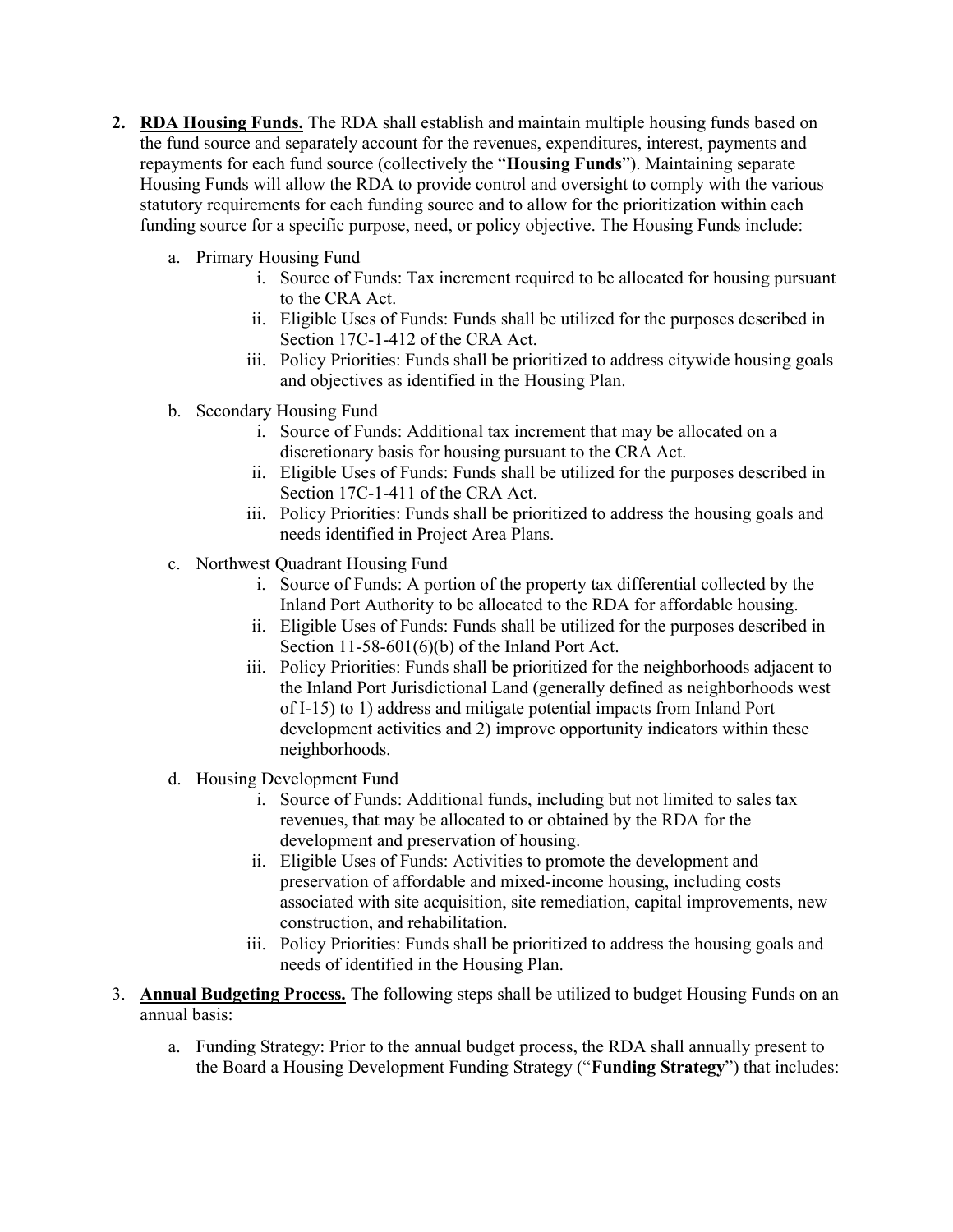- 2. RDA Housing Funds. The RDA shall establish and maintain multiple housing funds based on the fund source and separately account for the revenues, expenditures, interest, payments and repayments for each fund source (collectively the "Housing Funds"). Maintaining separate Housing Funds will allow the RDA to provide control and oversight to comply with the various statutory requirements for each funding source and to allow for the prioritization within each funding source for a specific purpose, need, or policy objective. The Housing Funds include:
	- a. Primary Housing Fund
		- i. Source of Funds: Tax increment required to be allocated for housing pursuant to the CRA Act.
		- ii. Eligible Uses of Funds: Funds shall be utilized for the purposes described in Section 17C-1-412 of the CRA Act.
		- iii. Policy Priorities: Funds shall be prioritized to address citywide housing goals and objectives as identified in the Housing Plan.
	- b. Secondary Housing Fund
		- i. Source of Funds: Additional tax increment that may be allocated on a discretionary basis for housing pursuant to the CRA Act.
		- ii. Eligible Uses of Funds: Funds shall be utilized for the purposes described in Section 17C-1-411 of the CRA Act.
		- iii. Policy Priorities: Funds shall be prioritized to address the housing goals and needs identified in Project Area Plans.
	- c. Northwest Quadrant Housing Fund
		- i. Source of Funds: A portion of the property tax differential collected by the Inland Port Authority to be allocated to the RDA for affordable housing.
		- ii. Eligible Uses of Funds: Funds shall be utilized for the purposes described in Section 11-58-601(6)(b) of the Inland Port Act.
		- iii. Policy Priorities: Funds shall be prioritized for the neighborhoods adjacent to the Inland Port Jurisdictional Land (generally defined as neighborhoods west of I-15) to 1) address and mitigate potential impacts from Inland Port development activities and 2) improve opportunity indicators within these neighborhoods.
	- d. Housing Development Fund
		- i. Source of Funds: Additional funds, including but not limited to sales tax revenues, that may be allocated to or obtained by the RDA for the development and preservation of housing.
		- ii. Eligible Uses of Funds: Activities to promote the development and preservation of affordable and mixed-income housing, including costs associated with site acquisition, site remediation, capital improvements, new construction, and rehabilitation.
		- iii. Policy Priorities: Funds shall be prioritized to address the housing goals and needs of identified in the Housing Plan.
- 3. Annual Budgeting Process. The following steps shall be utilized to budget Housing Funds on an annual basis:
	- a. Funding Strategy: Prior to the annual budget process, the RDA shall annually present to the Board a Housing Development Funding Strategy ("Funding Strategy") that includes: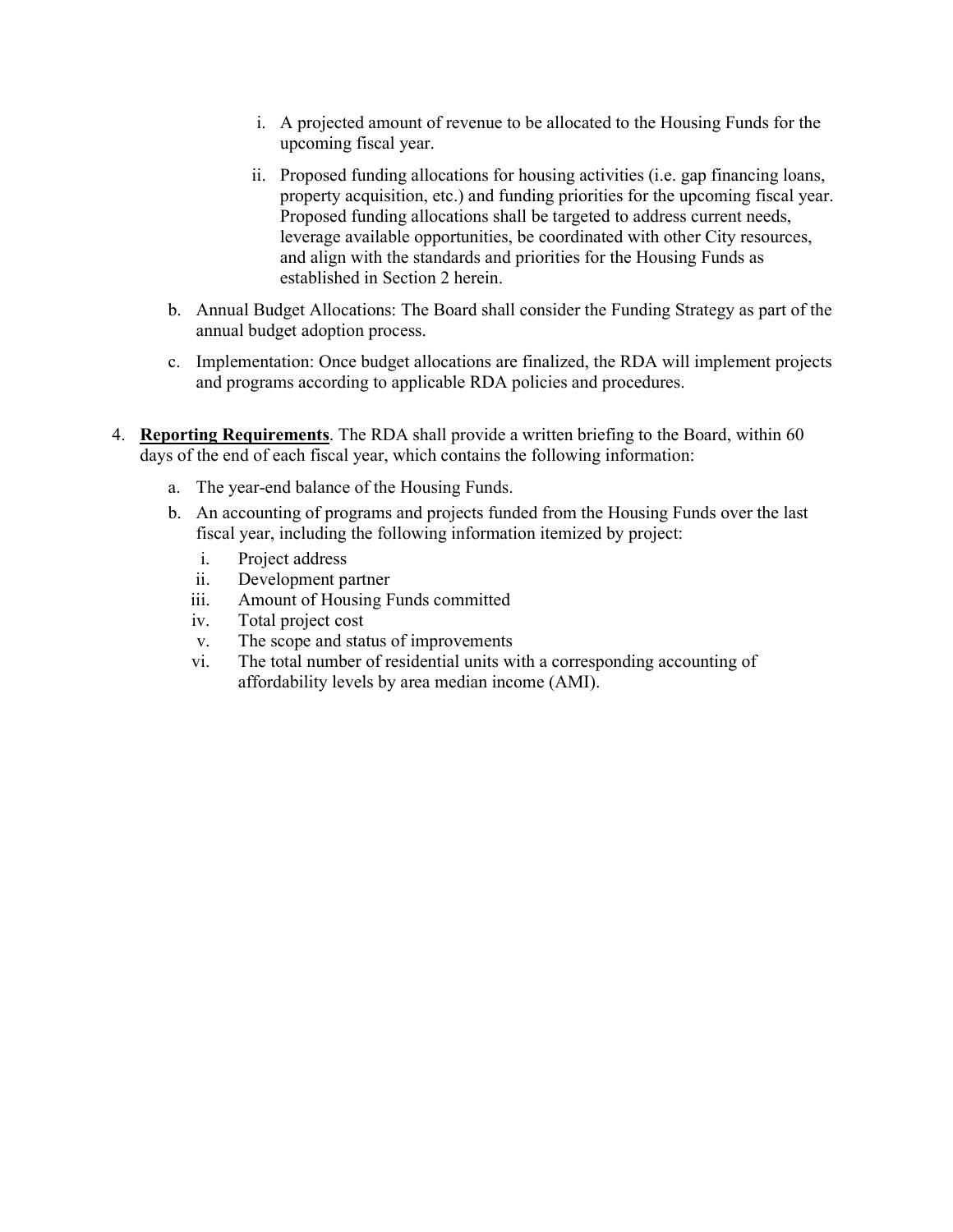- i. A projected amount of revenue to be allocated to the Housing Funds for the upcoming fiscal year.
- ii. Proposed funding allocations for housing activities (i.e. gap financing loans, property acquisition, etc.) and funding priorities for the upcoming fiscal year. Proposed funding allocations shall be targeted to address current needs, leverage available opportunities, be coordinated with other City resources, and align with the standards and priorities for the Housing Funds as established in Section 2 herein.
- b. Annual Budget Allocations: The Board shall consider the Funding Strategy as part of the annual budget adoption process.
- c. Implementation: Once budget allocations are finalized, the RDA will implement projects and programs according to applicable RDA policies and procedures.
- 4. Reporting Requirements. The RDA shall provide a written briefing to the Board, within 60 days of the end of each fiscal year, which contains the following information:
	- a. The year-end balance of the Housing Funds.
	- b. An accounting of programs and projects funded from the Housing Funds over the last fiscal year, including the following information itemized by project:
		- i. Project address
		- ii. Development partner
		- iii. Amount of Housing Funds committed
		- iv. Total project cost
		- v. The scope and status of improvements
		- vi. The total number of residential units with a corresponding accounting of affordability levels by area median income (AMI).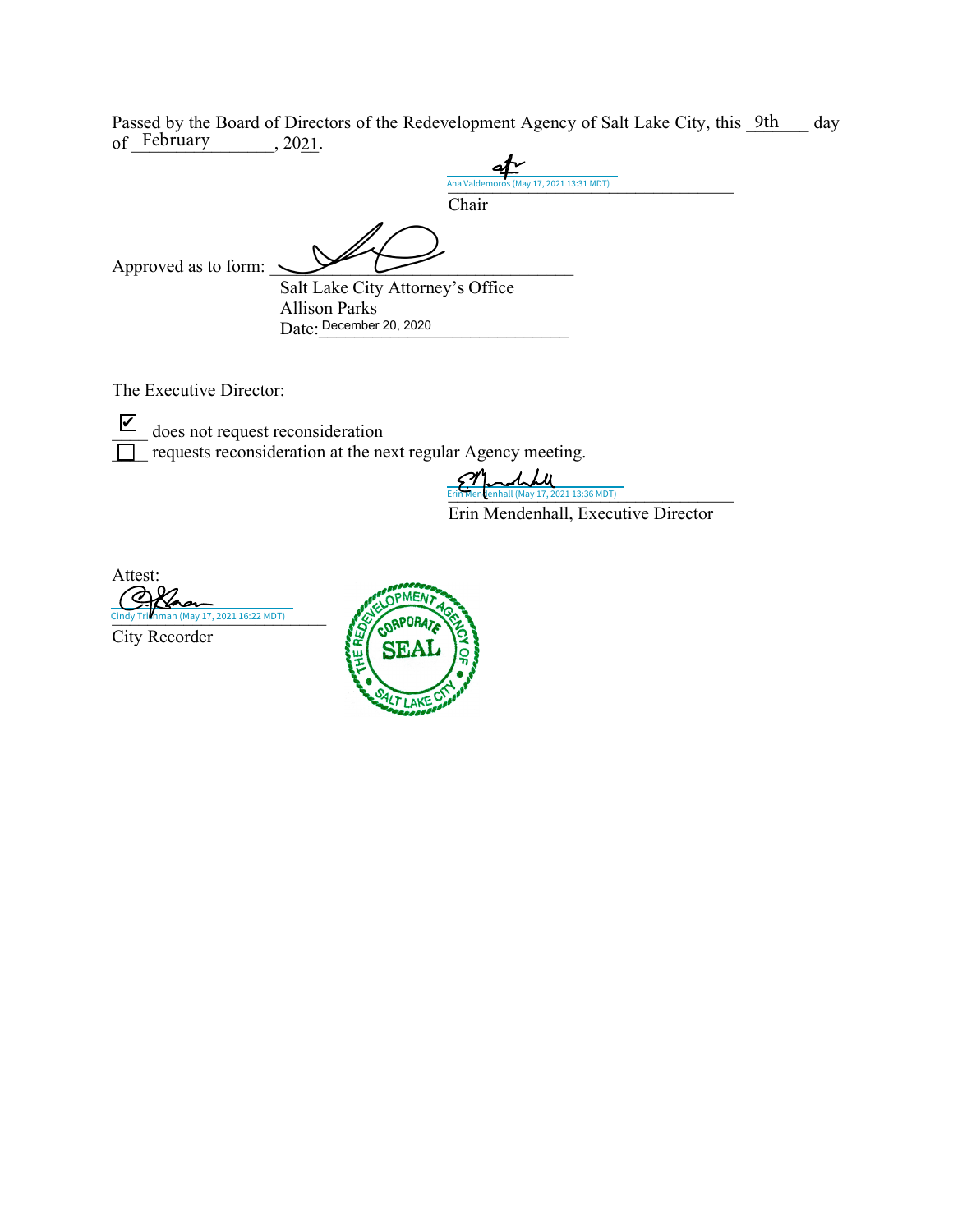Passed by the Board of Directors of the Redevelopment Agency of Salt Lake City, this <u>9th</u> day of February  $2021$ .

|                      | Ana Valdemoros (May 17, 2021 13:31 MDT) |
|----------------------|-----------------------------------------|
|                      | Chair                                   |
| Approved as to form: |                                         |
|                      | Salt Lake City Attorney's Office        |
|                      | <b>Allison Parks</b>                    |
|                      | Date: December 20, 2020                 |

The Executive Director:

does not request reconsideration  $\Box$  requests reconsideration at the next regular Agency meeting. ✔

 $\boldsymbol{\mu}$ Erin Mendenhall (May 17, 2021 13:36 MDT)

Erin Mendenhall, Executive Director

Attest: Cindy Trithman (May 17, 2021 16:22 MDT) City Recorder

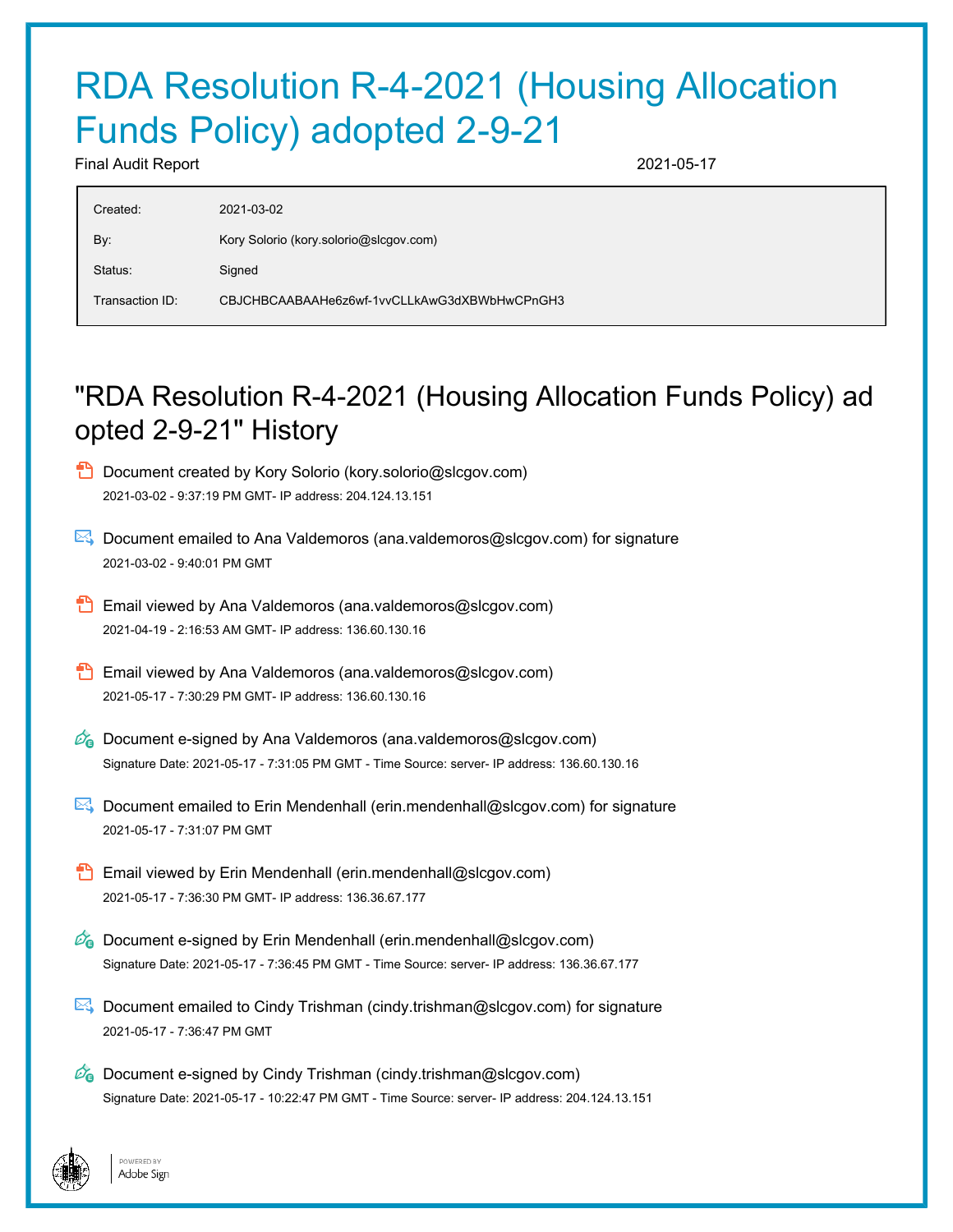# RDA Resolution R-4-2021 (Housing Allocation Funds Policy) adopted 2-9-21

Final Audit Report 2021-05-17

| Created:        | 2021-03-02                                   |
|-----------------|----------------------------------------------|
| By:             | Kory Solorio (kory.solorio@slcgov.com)       |
| Status:         | Signed                                       |
| Transaction ID: | CBJCHBCAABAAHe6z6wf-1vvCLLkAwG3dXBWbHwCPnGH3 |

## "RDA Resolution R-4-2021 (Housing Allocation Funds Policy) ad opted 2-9-21" History

- Document created by Kory Solorio (kory.solorio@slcgov.com) 2021-03-02 - 9:37:19 PM GMT- IP address: 204.124.13.151
- Document emailed to Ana Valdemoros (ana.valdemoros@slcgov.com) for signature 2021-03-02 - 9:40:01 PM GMT
- **Email viewed by Ana Valdemoros (ana.valdemoros@slcgov.com)** 2021-04-19 - 2:16:53 AM GMT- IP address: 136.60.130.16
- **Email viewed by Ana Valdemoros (ana.valdemoros@slcgov.com)** 2021-05-17 - 7:30:29 PM GMT- IP address: 136.60.130.16
- $\mathscr{O}_\bullet$  Document e-signed by Ana Valdemoros (ana.valdemoros@slcgov.com) Signature Date: 2021-05-17 - 7:31:05 PM GMT - Time Source: server- IP address: 136.60.130.16
- Document emailed to Erin Mendenhall (erin.mendenhall@slcgov.com) for signature 2021-05-17 - 7:31:07 PM GMT
- Email viewed by Erin Mendenhall (erin.mendenhall@slcgov.com) 2021-05-17 - 7:36:30 PM GMT- IP address: 136.36.67.177
- $\mathscr{O}_\bullet$  Document e-signed by Erin Mendenhall (erin.mendenhall@slcgov.com) Signature Date: 2021-05-17 - 7:36:45 PM GMT - Time Source: server- IP address: 136.36.67.177
- Document emailed to Cindy Trishman (cindy.trishman@slcgov.com) for signature 2021-05-17 - 7:36:47 PM GMT
- $\mathscr{O}_\mathbf{G}$  Document e-signed by Cindy Trishman (cindy.trishman@slcgov.com) Signature Date: 2021-05-17 - 10:22:47 PM GMT - Time Source: server- IP address: 204.124.13.151